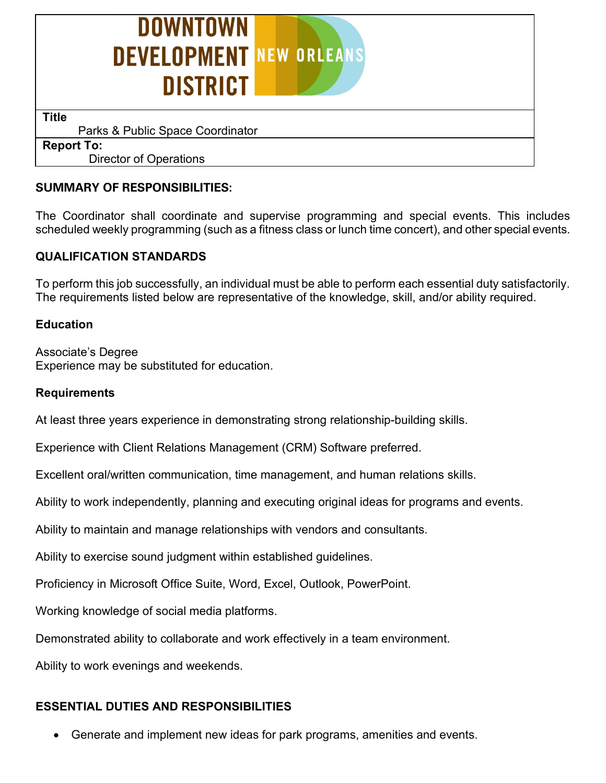

 **Title**

Parks & Public Space Coordinator

**Report To:** Director of Operations

## **SUMMARY OF RESPONSIBILITIES:**

The Coordinator shall coordinate and supervise programming and special events. This includes scheduled weekly programming (such as a fitness class or lunch time concert), and other special events.

# **QUALIFICATION STANDARDS**

To perform this job successfully, an individual must be able to perform each essential duty satisfactorily. The requirements listed below are representative of the knowledge, skill, and/or ability required.

## **Education**

Associate's Degree Experience may be substituted for education.

#### **Requirements**

At least three years experience in demonstrating strong relationship-building skills.

Experience with Client Relations Management (CRM) Software preferred.

Excellent oral/written communication, time management, and human relations skills.

Ability to work independently, planning and executing original ideas for programs and events.

Ability to maintain and manage relationships with vendors and consultants.

Ability to exercise sound judgment within established guidelines.

Proficiency in Microsoft Office Suite, Word, Excel, Outlook, PowerPoint.

Working knowledge of social media platforms.

Demonstrated ability to collaborate and work effectively in a team environment.

Ability to work evenings and weekends.

## **ESSENTIAL DUTIES AND RESPONSIBILITIES**

• Generate and implement new ideas for park programs, amenities and events.